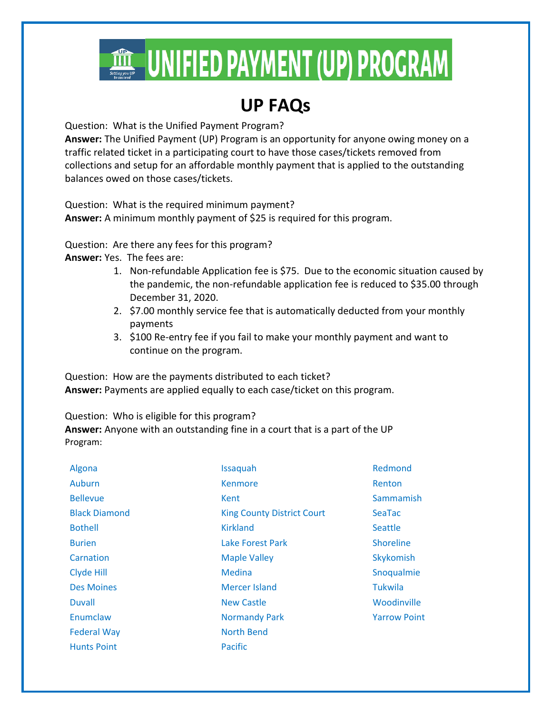

## **UP FAQs**

Question: What is the Unified Payment Program?

**Answer:** The Unified Payment (UP) Program is an opportunity for anyone owing money on a traffic related ticket in a participating court to have those cases/tickets removed from collections and setup for an affordable monthly payment that is applied to the outstanding balances owed on those cases/tickets.

Question: What is the required minimum payment? **Answer:** A minimum monthly payment of \$25 is required for this program.

Question: Are there any fees for this program?

**Answer:** Yes. The fees are:

- 1. Non-refundable Application fee is \$75. Due to the economic situation caused by the pandemic, the non-refundable application fee is reduced to \$35.00 through December 31, 2020.
- 2. \$7.00 monthly service fee that is automatically deducted from your monthly payments
- 3. \$100 Re-entry fee if you fail to make your monthly payment and want to continue on the program.

Question: How are the payments distributed to each ticket? **Answer:** Payments are applied equally to each case/ticket on this program.

Question: Who is eligible for this program? **Answer:** Anyone with an outstanding fine in a court that is a part of the UP Program:

| Algona               | Issaquah                          | Redmond             |
|----------------------|-----------------------------------|---------------------|
| Auburn               | <b>Kenmore</b>                    | Renton              |
| <b>Bellevue</b>      | Kent                              | Sammamish           |
| <b>Black Diamond</b> | <b>King County District Court</b> | <b>SeaTac</b>       |
| <b>Bothell</b>       | <b>Kirkland</b>                   | <b>Seattle</b>      |
| <b>Burien</b>        | Lake Forest Park                  | <b>Shoreline</b>    |
| Carnation            | <b>Maple Valley</b>               | Skykomish           |
| Clyde Hill           | Medina                            | Snoqualmie          |
| <b>Des Moines</b>    | Mercer Island                     | Tukwila             |
| <b>Duvall</b>        | <b>New Castle</b>                 | Woodinville         |
| Enumclaw             | <b>Normandy Park</b>              | <b>Yarrow Point</b> |
| <b>Federal Way</b>   | <b>North Bend</b>                 |                     |
| <b>Hunts Point</b>   | Pacific                           |                     |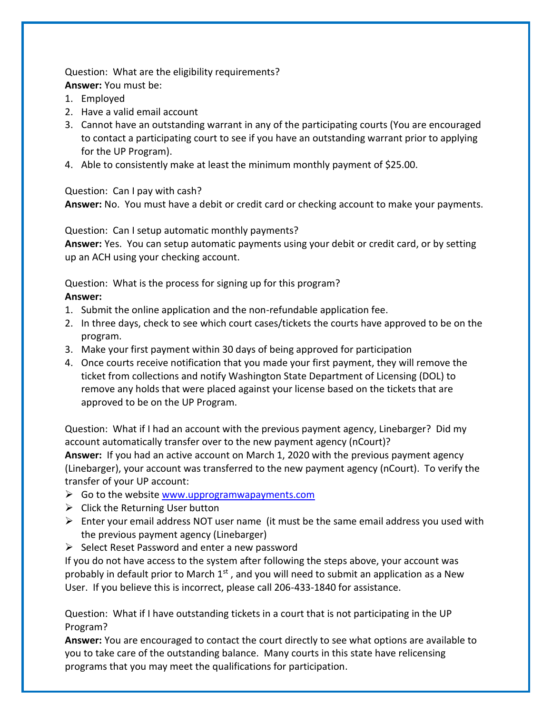Question: What are the eligibility requirements? **Answer:** You must be:

- 1. Employed
- 2. Have a valid email account
- 3. Cannot have an outstanding warrant in any of the participating courts (You are encouraged to contact a participating court to see if you have an outstanding warrant prior to applying for the UP Program).
- 4. Able to consistently make at least the minimum monthly payment of \$25.00.

Question: Can I pay with cash?

**Answer:** No. You must have a debit or credit card or checking account to make your payments.

Question: Can I setup automatic monthly payments?

**Answer:** Yes. You can setup automatic payments using your debit or credit card, or by setting up an ACH using your checking account.

Question: What is the process for signing up for this program? **Answer:** 

- 1. Submit the online application and the non-refundable application fee.
- 2. In three days, check to see which court cases/tickets the courts have approved to be on the program.
- 3. Make your first payment within 30 days of being approved for participation
- 4. Once courts receive notification that you made your first payment, they will remove the ticket from collections and notify Washington State Department of Licensing (DOL) to remove any holds that were placed against your license based on the tickets that are approved to be on the UP Program.

Question: What if I had an account with the previous payment agency, Linebarger? Did my account automatically transfer over to the new payment agency (nCourt)? **Answer:** If you had an active account on March 1, 2020 with the previous payment agency (Linebarger), your account was transferred to the new payment agency (nCourt). To verify the transfer of your UP account:

- ➢ Go to the websit[e www.upprogramwapayments.com](http://www.upprogramwapayments.com/)
- $\triangleright$  Click the Returning User button
- $\triangleright$  Enter your email address NOT user name (it must be the same email address you used with the previous payment agency (Linebarger)
- $\triangleright$  Select Reset Password and enter a new password

If you do not have access to the system after following the steps above, your account was probably in default prior to March  $1<sup>st</sup>$ , and you will need to submit an application as a New User. If you believe this is incorrect, please call 206-433-1840 for assistance.

Question: What if I have outstanding tickets in a court that is not participating in the UP Program?

**Answer:** You are encouraged to contact the court directly to see what options are available to you to take care of the outstanding balance. Many courts in this state have relicensing programs that you may meet the qualifications for participation.